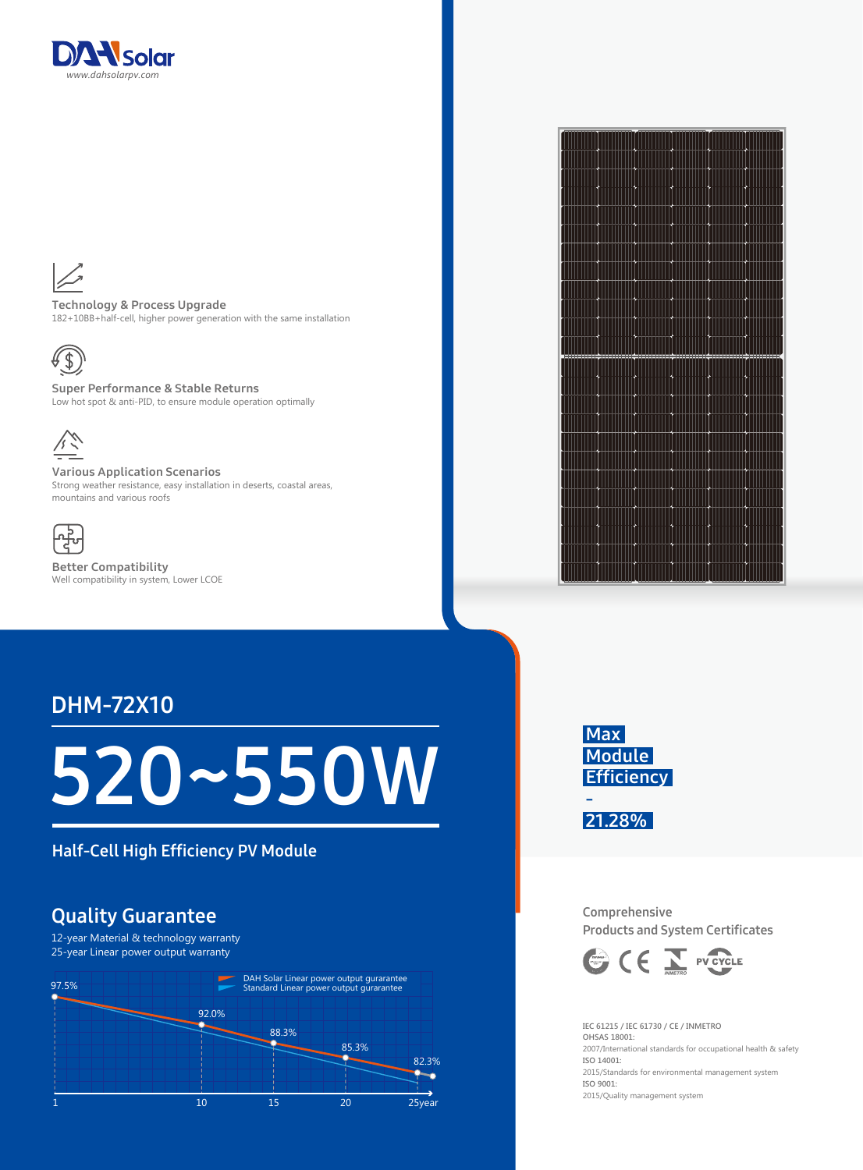



Technology & Process Upgrade 182+10BB+half-cell, higher power generation with the same installation



Super Performance & Stable Returns Low hot spot & anti-PID, to ensure module operation optimally



Various Application Scenarios Strong weather resistance, easy installation in deserts, coastal areas, mountains and various roofs



Better Compatibility Well compatibility in system, Lower LCOE

## DHM-72X10

# 520~550W

Half-Cell High Efficiency PV Module

### Quality Guarantee

12-year Material & technology warranty 25-year Linear power output warranty







Comprehensive Products and System Certificates



**IEC 61215 / IEC 61730 / CE / INMETRO OHSAS 18001:**  2007/International standards for occupational health & safety **ISO 14001:**  2015/Standards for environmental management system **ISO 9001:**  2015/Quality management system